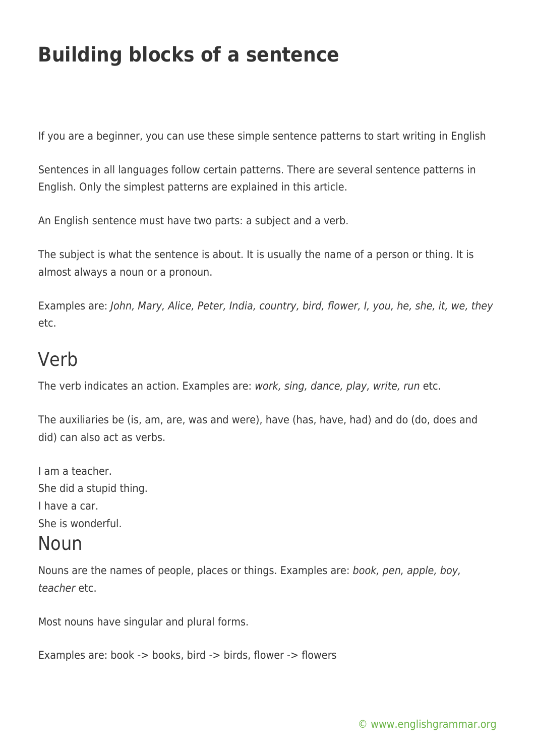# **Building blocks of a sentence**

If you are a beginner, you can use these simple sentence patterns to start writing in English

Sentences in all languages follow certain patterns. There are several sentence patterns in English. Only the simplest patterns are explained in this article.

An English sentence must have two parts: a subject and a verb.

The subject is what the sentence is about. It is usually the name of a person or thing. It is almost always a noun or a pronoun.

Examples are: John, Mary, Alice, Peter, India, country, bird, flower, I, you, he, she, it, we, they etc.

### Verb

The verb indicates an action. Examples are: work, sing, dance, play, write, run etc.

The auxiliaries be (is, am, are, was and were), have (has, have, had) and do (do, does and did) can also act as verbs.

I am a teacher. She did a stupid thing. I have a car. She is wonderful.

#### Noun

Nouns are the names of people, places or things. Examples are: book, pen, apple, boy, teacher etc.

Most nouns have singular and plural forms.

Examples are: book -> books, bird -> birds, flower -> flowers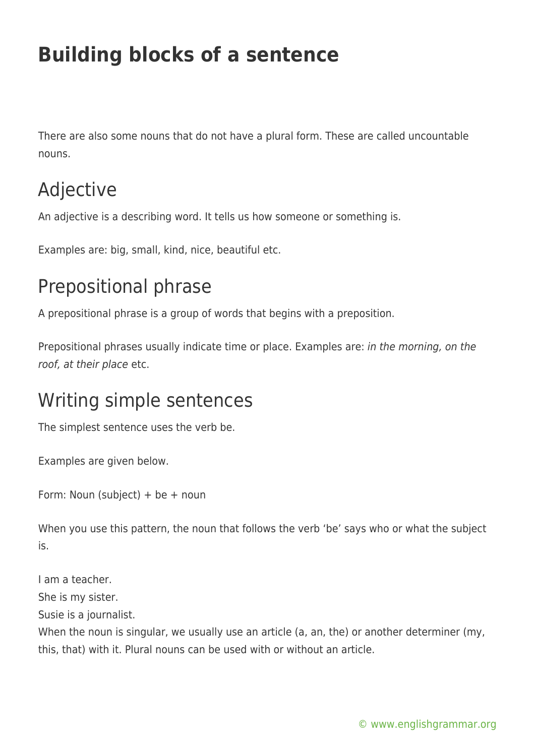# **Building blocks of a sentence**

There are also some nouns that do not have a plural form. These are called uncountable nouns.

## Adjective

An adjective is a describing word. It tells us how someone or something is.

Examples are: big, small, kind, nice, beautiful etc.

## Prepositional phrase

A prepositional phrase is a group of words that begins with a preposition.

Prepositional phrases usually indicate time or place. Examples are: in the morning, on the roof, at their place etc.

### Writing simple sentences

The simplest sentence uses the verb be.

Examples are given below.

Form: Noun (subject) + be + noun

When you use this pattern, the noun that follows the verb 'be' says who or what the subject is.

I am a teacher. She is my sister. Susie is a journalist. When the noun is singular, we usually use an article (a, an, the) or another determiner (my, this, that) with it. Plural nouns can be used with or without an article.